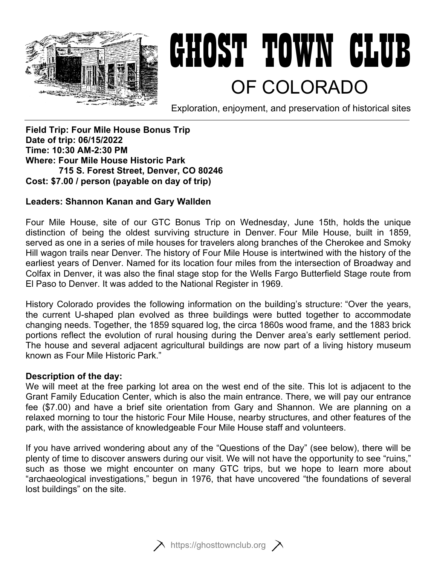

# GHOST TOWN CLUB OF COLORADO

Exploration, enjoyment, and preservation of historical sites

**Field Trip: Four Mile House Bonus Trip Date of trip: 06/15/2022 Time: 10:30 AM-2:30 PM Where: Four Mile House Historic Park 715 S. Forest Street, Denver, CO 80246 Cost: \$7.00 / person (payable on day of trip)** 

#### **Leaders: Shannon Kanan and Gary Wallden**

Four Mile House, site of our GTC Bonus Trip on Wednesday, June 15th, holds the unique distinction of being the oldest surviving structure in Denver. Four Mile House, built in 1859, served as one in a series of mile houses for travelers along branches of the Cherokee and Smoky Hill wagon trails near Denver. The history of Four Mile House is intertwined with the history of the earliest years of Denver. Named for its location four miles from the intersection of Broadway and Colfax in Denver, it was also the final stage stop for the Wells Fargo Butterfield Stage route from El Paso to Denver. It was added to the National Register in 1969.

History Colorado provides the following information on the building's structure: "Over the years, the current U-shaped plan evolved as three buildings were butted together to accommodate changing needs. Together, the 1859 squared log, the circa 1860s wood frame, and the 1883 brick portions reflect the evolution of rural housing during the Denver area's early settlement period. The house and several adjacent agricultural buildings are now part of a living history museum known as Four Mile Historic Park."

#### **Description of the day:**

We will meet at the free parking lot area on the west end of the site. This lot is adjacent to the Grant Family Education Center, which is also the main entrance. There, we will pay our entrance fee (\$7.00) and have a brief site orientation from Gary and Shannon. We are planning on a relaxed morning to tour the historic Four Mile House, nearby structures, and other features of the park, with the assistance of knowledgeable Four Mile House staff and volunteers.

If you have arrived wondering about any of the "Questions of the Day" (see below), there will be plenty of time to discover answers during our visit. We will not have the opportunity to see "ruins," such as those we might encounter on many GTC trips, but we hope to learn more about "archaeological investigations," begun in 1976, that have uncovered "the foundations of several lost buildings" on the site.

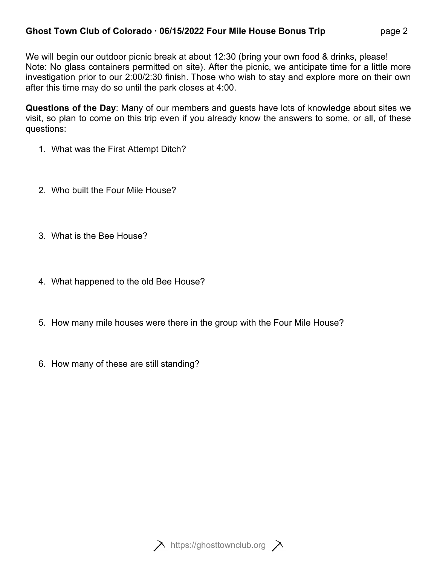# **Ghost Town Club of Colorado ∙ 06/15/2022 Four Mile House Bonus Trip** page 2

We will begin our outdoor picnic break at about 12:30 (bring your own food & drinks, please! Note: No glass containers permitted on site). After the picnic, we anticipate time for a little more investigation prior to our 2:00/2:30 finish. Those who wish to stay and explore more on their own after this time may do so until the park closes at 4:00.

**Questions of the Day**: Many of our members and guests have lots of knowledge about sites we visit, so plan to come on this trip even if you already know the answers to some, or all, of these questions:

- 1. What was the First Attempt Ditch?
- 2. Who built the Four Mile House?
- 3. What is the Bee House?
- 4. What happened to the old Bee House?
- 5. How many mile houses were there in the group with the Four Mile House?
- 6. How many of these are still standing?